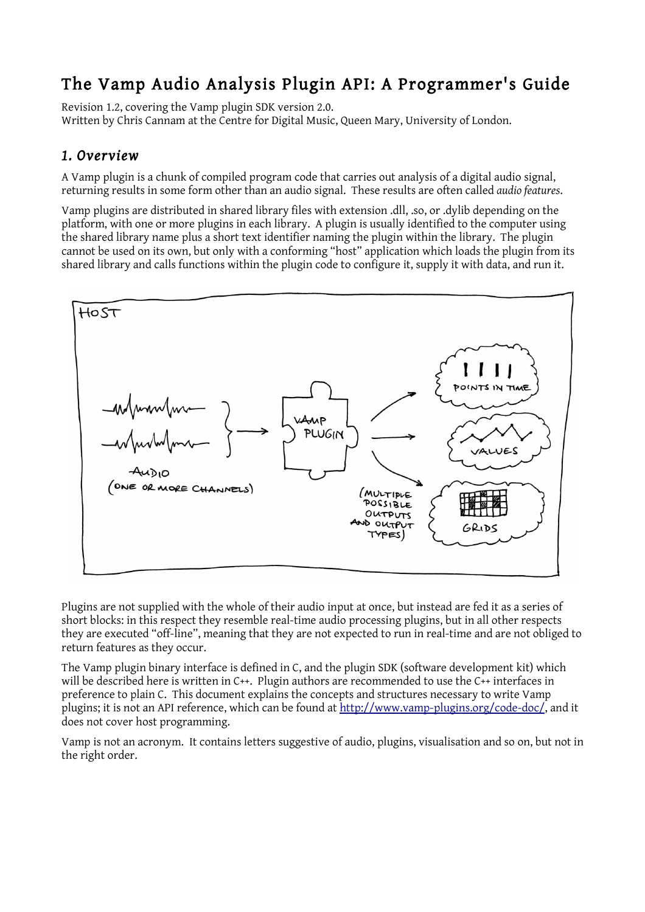# The Vamp Audio Analysis Plugin API: A Programmer's Guide

Revision 1.2, covering the Vamp plugin SDK version 2.0. Written by Chris Cannam at the Centre for Digital Music, Queen Mary, University of London.

# *1. Overview*

A Vamp plugin is a chunk of compiled program code that carries out analysis of a digital audio signal, returning results in some form other than an audio signal. These results are often called *audio features*.

Vamp plugins are distributed in shared library files with extension .dll, .so, or .dylib depending on the platform, with one or more plugins in each library. A plugin is usually identified to the computer using the shared library name plus a short text identifier naming the plugin within the library. The plugin cannot be used on its own, but only with a conforming "host" application which loads the plugin from its shared library and calls functions within the plugin code to configure it, supply it with data, and run it.



Plugins are not supplied with the whole of their audio input at once, but instead are fed it as a series of short blocks: in this respect they resemble real-time audio processing plugins, but in all other respects they are executed "off-line", meaning that they are not expected to run in real-time and are not obliged to return features as they occur.

The Vamp plugin binary interface is defined in C, and the plugin SDK (software development kit) which will be described here is written in C++. Plugin authors are recommended to use the C++ interfaces in preference to plain C. This document explains the concepts and structures necessary to write Vamp plugins; it is not an API reference, which can be found at [http://www.vamp-plugins.org/code-doc/,](http://www.vamp-plugins.org/code-doc/) and it does not cover host programming.

Vamp is not an acronym. It contains letters suggestive of audio, plugins, visualisation and so on, but not in the right order.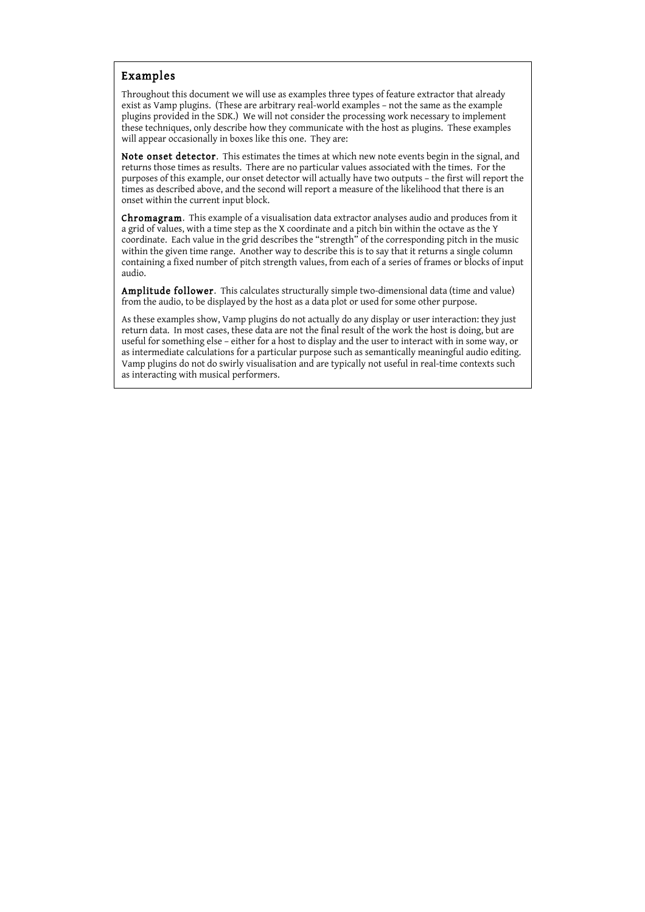#### Examples

Throughout this document we will use as examples three types of feature extractor that already exist as Vamp plugins. (These are arbitrary real-world examples – not the same as the example plugins provided in the SDK.) We will not consider the processing work necessary to implement these techniques, only describe how they communicate with the host as plugins. These examples will appear occasionally in boxes like this one. They are:

Note onset detector. This estimates the times at which new note events begin in the signal, and returns those times as results. There are no particular values associated with the times. For the purposes of this example, our onset detector will actually have two outputs – the first will report the times as described above, and the second will report a measure of the likelihood that there is an onset within the current input block.

Chromagram. This example of a visualisation data extractor analyses audio and produces from it a grid of values, with a time step as the X coordinate and a pitch bin within the octave as the Y coordinate. Each value in the grid describes the "strength" of the corresponding pitch in the music within the given time range. Another way to describe this is to say that it returns a single column containing a fixed number of pitch strength values, from each of a series of frames or blocks of input audio.

Amplitude follower. This calculates structurally simple two-dimensional data (time and value) from the audio, to be displayed by the host as a data plot or used for some other purpose.

As these examples show, Vamp plugins do not actually do any display or user interaction: they just return data. In most cases, these data are not the final result of the work the host is doing, but are useful for something else – either for a host to display and the user to interact with in some way, or as intermediate calculations for a particular purpose such as semantically meaningful audio editing. Vamp plugins do not do swirly visualisation and are typically not useful in real-time contexts such as interacting with musical performers.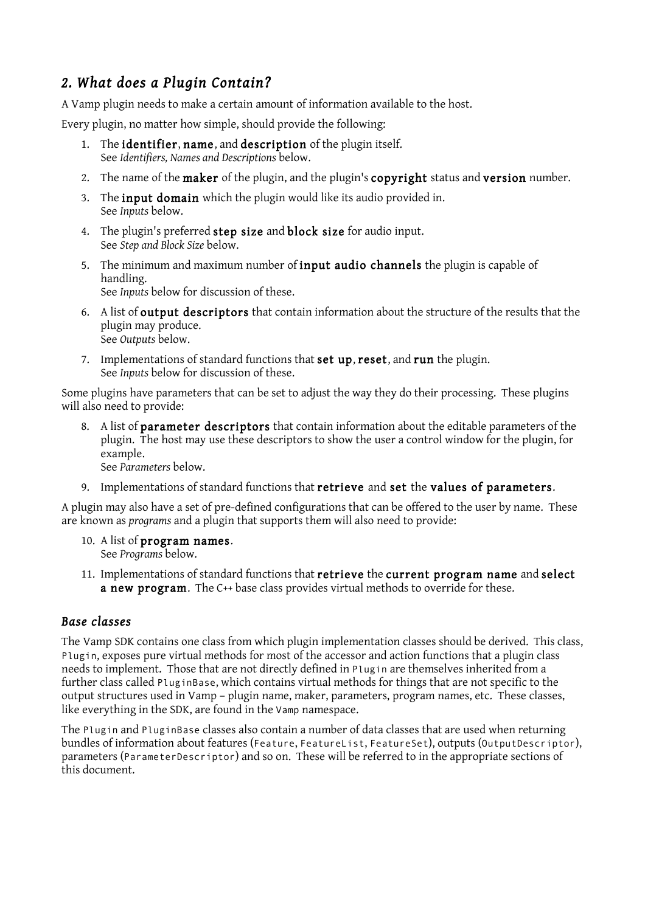# *2. What does a Plugin Contain?*

A Vamp plugin needs to make a certain amount of information available to the host.

Every plugin, no matter how simple, should provide the following:

- 1. The identifier, name, and description of the plugin itself. See *Identifiers, Names and Descriptions* below.
- 2. The name of the maker of the plugin, and the plugin's copyright status and version number.
- 3. The inputdomain which the plugin would like its audio provided in. See *Inputs* below.
- 4. The plugin's preferred step size and block size for audio input. See *Step and Block Size* below.
- 5. The minimum and maximum number of input audio channels the plugin is capable of handling. See *Inputs* below for discussion of these.
- 6. A list of output descriptors that contain information about the structure of the results that the plugin may produce. See *Outputs* below.
- 7. Implementations of standard functions that set up, reset, and run the plugin. See *Inputs* below for discussion of these.

Some plugins have parameters that can be set to adjust the way they do their processing. These plugins will also need to provide:

8. A list of parameter descriptors that contain information about the editable parameters of the plugin. The host may use these descriptors to show the user a control window for the plugin, for example.

See *Parameters* below.

9. Implementations of standard functions that retrieve and set the values of parameters.

A plugin may also have a set of pre-defined configurations that can be offered to the user by name. These are known as *programs* and a plugin that supports them will also need to provide:

- 10. A list of program names. See *Programs* below.
- 11. Implementations of standard functions that retrieve the current program name and select a new program. The C++ base class provides virtual methods to override for these.

### *Base classes*

The Vamp SDK contains one class from which plugin implementation classes should be derived. This class, Plugin, exposes pure virtual methods for most of the accessor and action functions that a plugin class needs to implement. Those that are not directly defined in Plugin are themselves inherited from a further class called PluginBase, which contains virtual methods for things that are not specific to the output structures used in Vamp – plugin name, maker, parameters, program names, etc. These classes, like everything in the SDK, are found in the Vamp namespace.

The Plugin and PluginBase classes also contain a number of data classes that are used when returning bundles of information about features (Feature, FeatureList, FeatureSet), outputs (OutputDescriptor), parameters (ParameterDescriptor) and so on. These will be referred to in the appropriate sections of this document.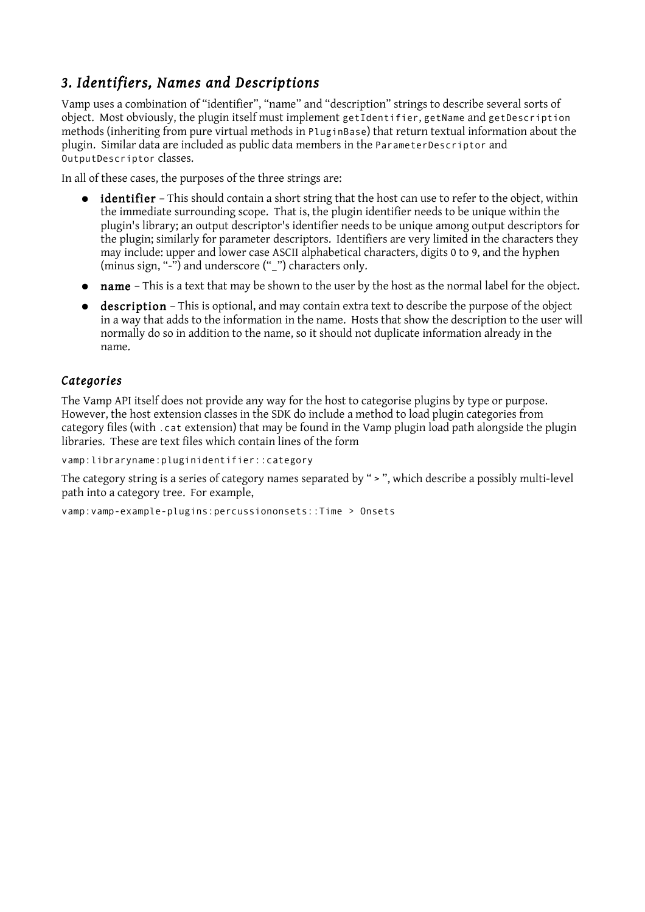# *3. Identifiers, Names and Descriptions*

Vamp uses a combination of "identifier", "name" and "description" strings to describe several sorts of object. Most obviously, the plugin itself must implement getIdentifier, getName and getDescription methods (inheriting from pure virtual methods in PluginBase) that return textual information about the plugin. Similar data are included as public data members in the ParameterDescriptor and OutputDescriptor classes.

In all of these cases, the purposes of the three strings are:

- **identifier** This should contain a short string that the host can use to refer to the object, within the immediate surrounding scope. That is, the plugin identifier needs to be unique within the plugin's library; an output descriptor's identifier needs to be unique among output descriptors for the plugin; similarly for parameter descriptors. Identifiers are very limited in the characters they may include: upper and lower case ASCII alphabetical characters, digits 0 to 9, and the hyphen (minus sign, "-") and underscore ("\_") characters only.
- name This is a text that may be shown to the user by the host as the normal label for the object.
- description This is optional, and may contain extra text to describe the purpose of the object in a way that adds to the information in the name. Hosts that show the description to the user will normally do so in addition to the name, so it should not duplicate information already in the name.

#### *Categories*

The Vamp API itself does not provide any way for the host to categorise plugins by type or purpose. However, the host extension classes in the SDK do include a method to load plugin categories from category files (with .cat extension) that may be found in the Vamp plugin load path alongside the plugin libraries. These are text files which contain lines of the form

vamp:libraryname:pluginidentifier::category

The category string is a series of category names separated by " > ", which describe a possibly multi-level path into a category tree. For example,

vamp:vamp-example-plugins:percussiononsets::Time > Onsets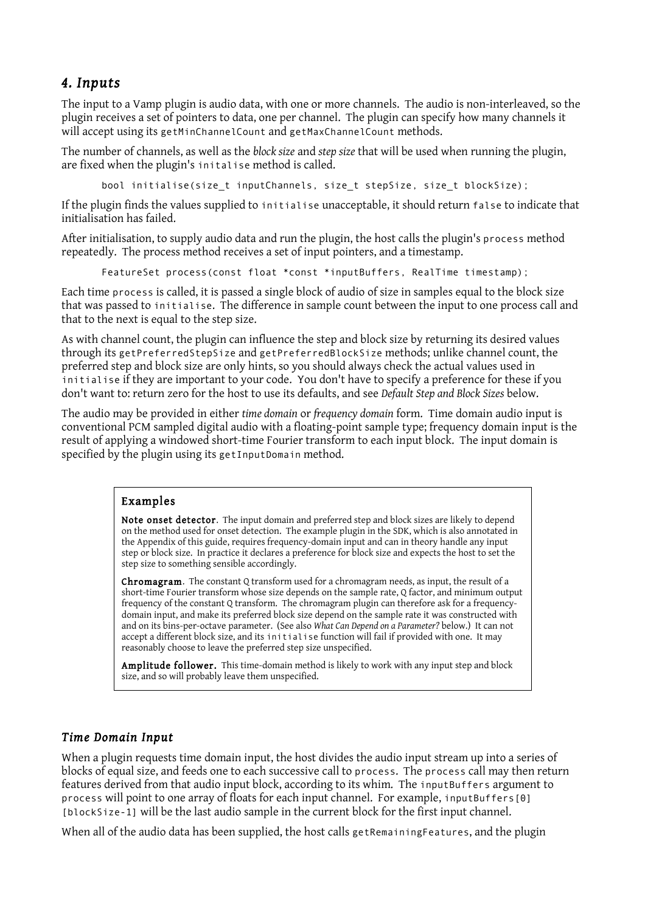# *4. Inputs*

The input to a Vamp plugin is audio data, with one or more channels. The audio is non-interleaved, so the plugin receives a set of pointers to data, one per channel. The plugin can specify how many channels it will accept using its getMinChannelCount and getMaxChannelCount methods.

The number of channels, as well as the *block size* and *step size* that will be used when running the plugin, are fixed when the plugin's initalise method is called.

bool initialise(size\_t inputChannels, size\_t stepSize, size\_t blockSize);

If the plugin finds the values supplied to initialise unacceptable, it should return false to indicate that initialisation has failed.

After initialisation, to supply audio data and run the plugin, the host calls the plugin's process method repeatedly. The process method receives a set of input pointers, and a timestamp.

FeatureSet process(const float \*const \*inputBuffers, RealTime timestamp);

Each time process is called, it is passed a single block of audio of size in samples equal to the block size that was passed to initialise. The difference in sample count between the input to one process call and that to the next is equal to the step size.

As with channel count, the plugin can influence the step and block size by returning its desired values through its getPreferredStepSize and getPreferredBlockSize methods; unlike channel count, the preferred step and block size are only hints, so you should always check the actual values used in initialise if they are important to your code. You don't have to specify a preference for these if you don't want to: return zero for the host to use its defaults, and see *Default Step and Block Sizes* below.

The audio may be provided in either *time domain* or *frequency domain* form. Time domain audio input is conventional PCM sampled digital audio with a floating-point sample type; frequency domain input is the result of applying a windowed short-time Fourier transform to each input block. The input domain is specified by the plugin using its getInputDomain method.

#### Examples

Note onset detector. The input domain and preferred step and block sizes are likely to depend on the method used for onset detection. The example plugin in the SDK, which is also annotated in the Appendix of this guide, requires frequency-domain input and can in theory handle any input step or block size. In practice it declares a preference for block size and expects the host to set the step size to something sensible accordingly.

Chromagram. The constant Q transform used for a chromagram needs, as input, the result of a short-time Fourier transform whose size depends on the sample rate, Q factor, and minimum output frequency of the constant Q transform. The chromagram plugin can therefore ask for a frequencydomain input, and make its preferred block size depend on the sample rate it was constructed with and on its bins-per-octave parameter. (See also *What Can Depend on a Parameter?* below.) It can not accept a different block size, and its initialise function will fail if provided with one. It may reasonably choose to leave the preferred step size unspecified.

Amplitude follower. This time-domain method is likely to work with any input step and block size, and so will probably leave them unspecified.

#### *Time Domain Input*

When a plugin requests time domain input, the host divides the audio input stream up into a series of blocks of equal size, and feeds one to each successive call to process. The process call may then return features derived from that audio input block, according to its whim. The inputBuffers argument to process will point to one array of floats for each input channel. For example, inputBuffers[0] [blockSize-1] will be the last audio sample in the current block for the first input channel.

When all of the audio data has been supplied, the host calls getRemainingFeatures, and the plugin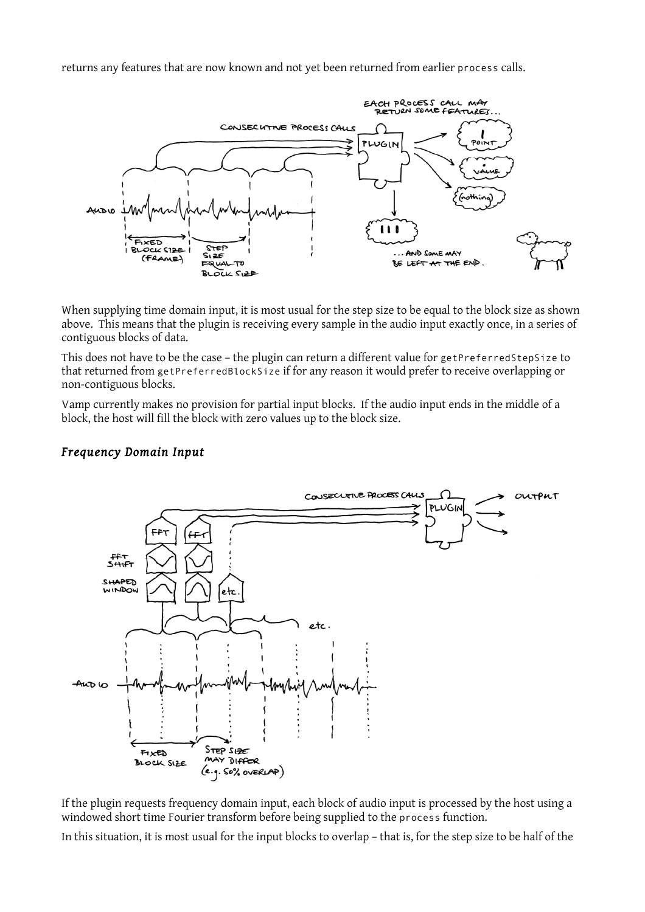returns any features that are now known and not yet been returned from earlier process calls.



When supplying time domain input, it is most usual for the step size to be equal to the block size as shown above. This means that the plugin is receiving every sample in the audio input exactly once, in a series of contiguous blocks of data.

This does not have to be the case – the plugin can return a different value for getPreferredStepSize to that returned from getPreferredBlockSize if for any reason it would prefer to receive overlapping or non-contiguous blocks.

Vamp currently makes no provision for partial input blocks. If the audio input ends in the middle of a block, the host will fill the block with zero values up to the block size.

#### *Frequency Domain Input*



If the plugin requests frequency domain input, each block of audio input is processed by the host using a windowed short time Fourier transform before being supplied to the process function.

In this situation, it is most usual for the input blocks to overlap – that is, for the step size to be half of the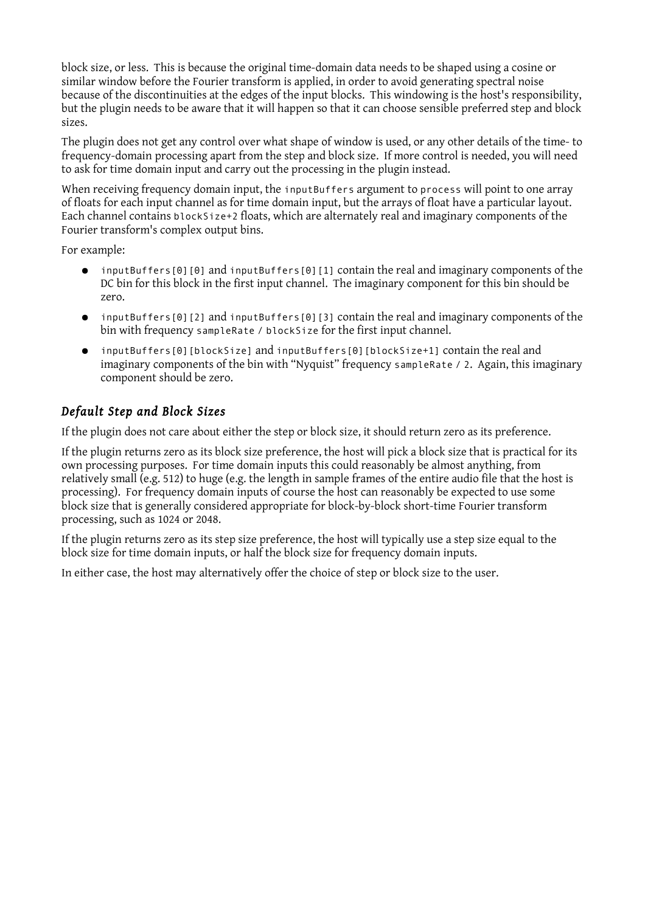block size, or less. This is because the original time-domain data needs to be shaped using a cosine or similar window before the Fourier transform is applied, in order to avoid generating spectral noise because of the discontinuities at the edges of the input blocks. This windowing is the host's responsibility, but the plugin needs to be aware that it will happen so that it can choose sensible preferred step and block sizes.

The plugin does not get any control over what shape of window is used, or any other details of the time- to frequency-domain processing apart from the step and block size. If more control is needed, you will need to ask for time domain input and carry out the processing in the plugin instead.

When receiving frequency domain input, the inputBuffers argument to process will point to one array of floats for each input channel as for time domain input, but the arrays of float have a particular layout. Each channel contains blockSize+2 floats, which are alternately real and imaginary components of the Fourier transform's complex output bins.

For example:

- inputBuffers[0][0] and inputBuffers[0][1] contain the real and imaginary components of the DC bin for this block in the first input channel. The imaginary component for this bin should be zero.
- inputBuffers[0][2] and inputBuffers[0][3] contain the real and imaginary components of the bin with frequency sampleRate / blockSize for the first input channel.
- inputBuffers[0][blockSize] and inputBuffers[0][blockSize+1] contain the real and imaginary components of the bin with "Nyquist" frequency sampleRate / 2. Again, this imaginary component should be zero.

## *Default Step and Block Sizes*

If the plugin does not care about either the step or block size, it should return zero as its preference.

If the plugin returns zero as its block size preference, the host will pick a block size that is practical for its own processing purposes. For time domain inputs this could reasonably be almost anything, from relatively small (e.g. 512) to huge (e.g. the length in sample frames of the entire audio file that the host is processing). For frequency domain inputs of course the host can reasonably be expected to use some block size that is generally considered appropriate for block-by-block short-time Fourier transform processing, such as 1024 or 2048.

If the plugin returns zero as its step size preference, the host will typically use a step size equal to the block size for time domain inputs, or half the block size for frequency domain inputs.

In either case, the host may alternatively offer the choice of step or block size to the user.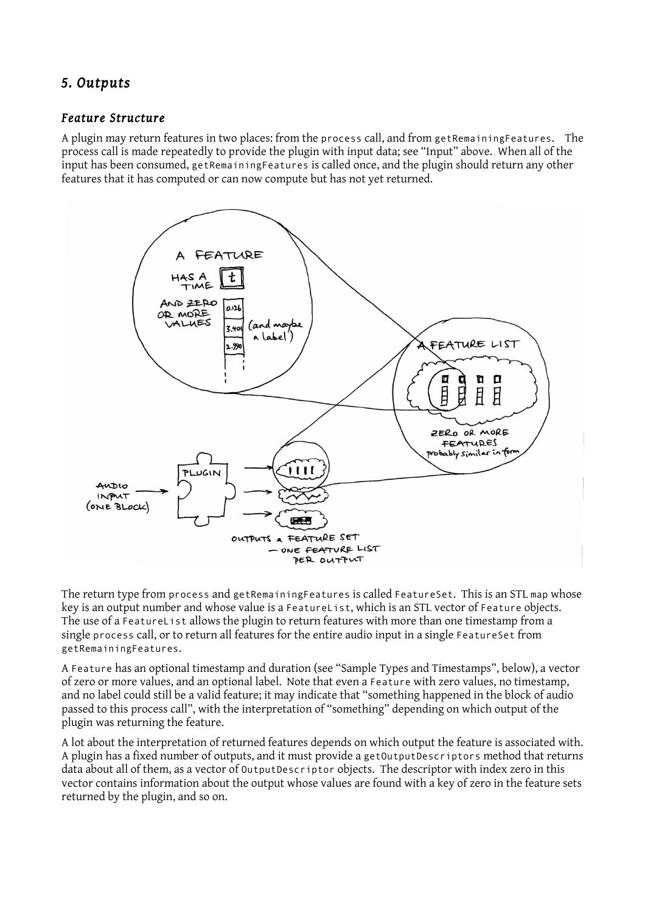# *5. Outputs*

#### *Feature Structure*

A plugin may return features in two places: from the process call, and from getRemainingFeatures. The process call is made repeatedly to provide the plugin with input data; see "Input" above. When all of the input has been consumed, getRemainingFeatures is called once, and the plugin should return any other features that it has computed or can now compute but has not yet returned.



The return type from process and getRemainingFeatures is called FeatureSet. This is an STL map whose key is an output number and whose value is a FeatureList, which is an STL vector of Feature objects. The use of a FeatureList allows the plugin to return features with more than one timestamp from a single process call, or to return all features for the entire audio input in a single FeatureSet from getRemainingFeatures.

A Feature has an optional timestamp and duration (see "Sample Types and Timestamps", below), a vector of zero or more values, and an optional label. Note that even a Feature with zero values, no timestamp, and no label could still be a valid feature; it may indicate that "something happened in the block of audio passed to this process call", with the interpretation of "something" depending on which output of the plugin was returning the feature.

A lot about the interpretation of returned features depends on which output the feature is associated with. A plugin has a fixed number of outputs, and it must provide a getOutputDescriptors method that returns data about all of them, as a vector of OutputDescriptor objects. The descriptor with index zero in this vector contains information about the output whose values are found with a key of zero in the feature sets returned by the plugin, and so on.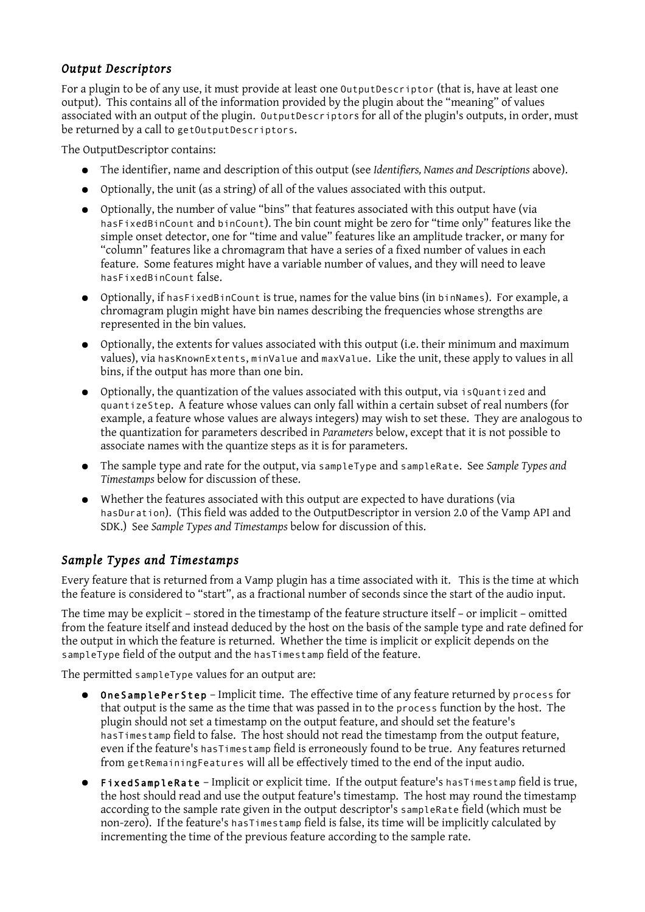#### *Output Descriptors*

For a plugin to be of any use, it must provide at least one OutputDescriptor (that is, have at least one output). This contains all of the information provided by the plugin about the "meaning" of values associated with an output of the plugin. OutputDescriptors for all of the plugin's outputs, in order, must be returned by a call to getOutputDescriptors.

The OutputDescriptor contains:

- The identifier, name and description of this output (see *Identifiers, Names and Descriptions* above).
- Optionally, the unit (as a string) of all of the values associated with this output.
- Optionally, the number of value "bins" that features associated with this output have (via hasFixedBinCount and binCount). The bin count might be zero for "time only" features like the simple onset detector, one for "time and value" features like an amplitude tracker, or many for "column" features like a chromagram that have a series of a fixed number of values in each feature. Some features might have a variable number of values, and they will need to leave hasFixedBinCount false.
- Optionally, if hasFixedBinCount is true, names for the value bins (in binNames). For example, a chromagram plugin might have bin names describing the frequencies whose strengths are represented in the bin values.
- Optionally, the extents for values associated with this output (i.e. their minimum and maximum values), via hasKnownExtents, minValue and maxValue. Like the unit, these apply to values in all bins, if the output has more than one bin.
- Optionally, the quantization of the values associated with this output, via isQuantized and quantizeStep. A feature whose values can only fall within a certain subset of real numbers (for example, a feature whose values are always integers) may wish to set these. They are analogous to the quantization for parameters described in *Parameters* below, except that it is not possible to associate names with the quantize steps as it is for parameters.
- The sample type and rate for the output, via sampleType and sampleRate. See *Sample Types and Timestamps* below for discussion of these.
- Whether the features associated with this output are expected to have durations (via hasDuration). (This field was added to the OutputDescriptor in version 2.0 of the Vamp API and SDK.) See *Sample Types and Timestamps* below for discussion of this.

#### *Sample Types and Timestamps*

Every feature that is returned from a Vamp plugin has a time associated with it. This is the time at which the feature is considered to "start", as a fractional number of seconds since the start of the audio input.

The time may be explicit – stored in the timestamp of the feature structure itself – or implicit – omitted from the feature itself and instead deduced by the host on the basis of the sample type and rate defined for the output in which the feature is returned. Whether the time is implicit or explicit depends on the sampleType field of the output and the hasTimestamp field of the feature.

The permitted sampleType values for an output are:

- OneSamplePerStep Implicit time. The effective time of any feature returned by process for that output is the same as the time that was passed in to the process function by the host. The plugin should not set a timestamp on the output feature, and should set the feature's hasTimestamp field to false. The host should not read the timestamp from the output feature, even if the feature's hasTimestamp field is erroneously found to be true. Any features returned from getRemainingFeatures will all be effectively timed to the end of the input audio.
- FixedSampleRate Implicit or explicit time. If the output feature's hasTimestamp field is true, the host should read and use the output feature's timestamp. The host may round the timestamp according to the sample rate given in the output descriptor's sampleRate field (which must be non-zero). If the feature's hasTimestamp field is false, its time will be implicitly calculated by incrementing the time of the previous feature according to the sample rate.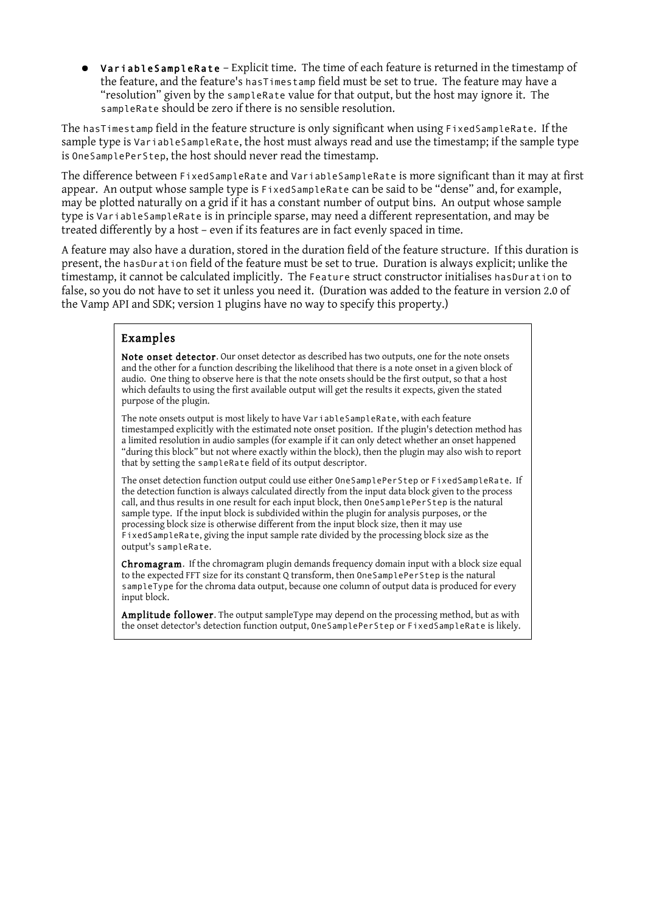● VariableSampleRate – Explicit time. The time of each feature is returned in the timestamp of the feature, and the feature's hasTimestamp field must be set to true. The feature may have a "resolution" given by the sampleRate value for that output, but the host may ignore it. The sampleRate should be zero if there is no sensible resolution.

The hasTimestamp field in the feature structure is only significant when using FixedSampleRate. If the sample type is VariableSampleRate, the host must always read and use the timestamp; if the sample type is OneSamplePerStep, the host should never read the timestamp.

The difference between FixedSampleRate and VariableSampleRate is more significant than it may at first appear. An output whose sample type is FixedSampleRate can be said to be "dense" and, for example, may be plotted naturally on a grid if it has a constant number of output bins. An output whose sample type is VariableSampleRate is in principle sparse, may need a different representation, and may be treated differently by a host – even if its features are in fact evenly spaced in time.

A feature may also have a duration, stored in the duration field of the feature structure. If this duration is present, the hasDuration field of the feature must be set to true. Duration is always explicit; unlike the timestamp, it cannot be calculated implicitly. The Feature struct constructor initialises hasDuration to false, so you do not have to set it unless you need it. (Duration was added to the feature in version 2.0 of the Vamp API and SDK; version 1 plugins have no way to specify this property.)

#### Examples

Note onset detector. Our onset detector as described has two outputs, one for the note onsets and the other for a function describing the likelihood that there is a note onset in a given block of audio. One thing to observe here is that the note onsets should be the first output, so that a host which defaults to using the first available output will get the results it expects, given the stated purpose of the plugin.

The note onsets output is most likely to have VariableSampleRate, with each feature timestamped explicitly with the estimated note onset position. If the plugin's detection method has a limited resolution in audio samples (for example if it can only detect whether an onset happened "during this block" but not where exactly within the block), then the plugin may also wish to report that by setting the sampleRate field of its output descriptor.

The onset detection function output could use either OneSamplePerStep or FixedSampleRate. If the detection function is always calculated directly from the input data block given to the process call, and thus results in one result for each input block, then OneSamplePerStep is the natural sample type. If the input block is subdivided within the plugin for analysis purposes, or the processing block size is otherwise different from the input block size, then it may use FixedSampleRate, giving the input sample rate divided by the processing block size as the output's sampleRate.

Chromagram. If the chromagram plugin demands frequency domain input with a block size equal to the expected FFT size for its constant Q transform, then OneSamplePerStep is the natural sampleType for the chroma data output, because one column of output data is produced for every input block.

Amplitude follower. The output sampleType may depend on the processing method, but as with the onset detector's detection function output, OneSamplePerStep or FixedSampleRate is likely.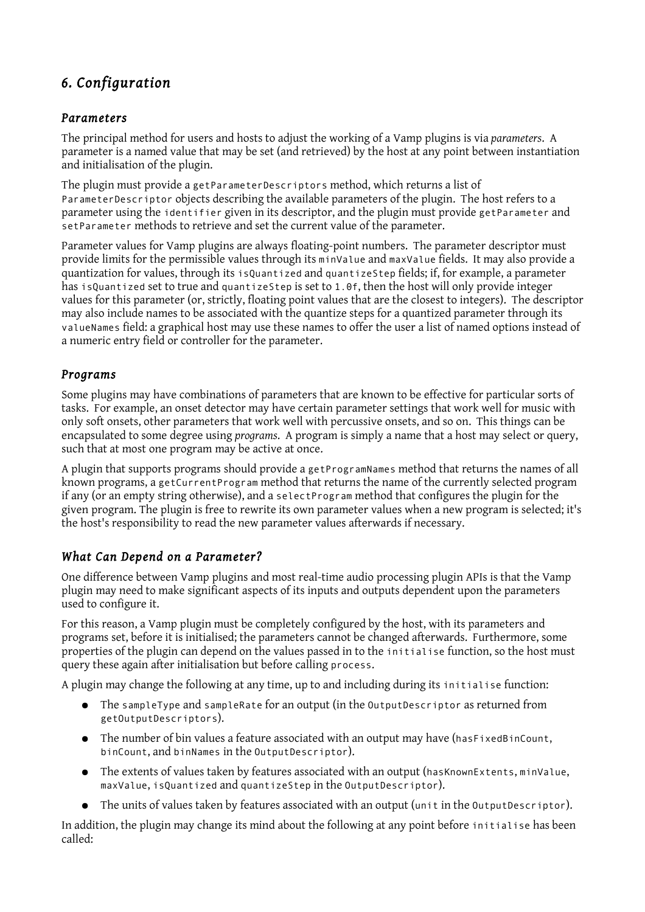# *6. Configuration*

### *Parameters*

The principal method for users and hosts to adjust the working of a Vamp plugins is via *parameters*. A parameter is a named value that may be set (and retrieved) by the host at any point between instantiation and initialisation of the plugin.

The plugin must provide a getParameterDescriptors method, which returns a list of ParameterDescriptor objects describing the available parameters of the plugin. The host refers to a parameter using the identifier given in its descriptor, and the plugin must provide getParameter and setParameter methods to retrieve and set the current value of the parameter.

Parameter values for Vamp plugins are always floating-point numbers. The parameter descriptor must provide limits for the permissible values through its minValue and maxValue fields. It may also provide a quantization for values, through its isQuantized and quantizeStep fields; if, for example, a parameter has isQuantized set to true and quantizeStep is set to 1.0f, then the host will only provide integer values for this parameter (or, strictly, floating point values that are the closest to integers). The descriptor may also include names to be associated with the quantize steps for a quantized parameter through its valueNames field: a graphical host may use these names to offer the user a list of named options instead of a numeric entry field or controller for the parameter.

### *Programs*

Some plugins may have combinations of parameters that are known to be effective for particular sorts of tasks. For example, an onset detector may have certain parameter settings that work well for music with only soft onsets, other parameters that work well with percussive onsets, and so on. This things can be encapsulated to some degree using *programs*. A program is simply a name that a host may select or query, such that at most one program may be active at once.

A plugin that supports programs should provide a getProgramNames method that returns the names of all known programs, a getCurrentProgram method that returns the name of the currently selected program if any (or an empty string otherwise), and a selectProgram method that configures the plugin for the given program. The plugin is free to rewrite its own parameter values when a new program is selected; it's the host's responsibility to read the new parameter values afterwards if necessary.

### *What Can Depend on a Parameter?*

One difference between Vamp plugins and most real-time audio processing plugin APIs is that the Vamp plugin may need to make significant aspects of its inputs and outputs dependent upon the parameters used to configure it.

For this reason, a Vamp plugin must be completely configured by the host, with its parameters and programs set, before it is initialised; the parameters cannot be changed afterwards. Furthermore, some properties of the plugin can depend on the values passed in to the initialise function, so the host must query these again after initialisation but before calling process.

A plugin may change the following at any time, up to and including during its initialise function:

- The sampleType and sampleRate for an output (in the OutputDescriptor as returned from getOutputDescriptors).
- The number of bin values a feature associated with an output may have (hasFixedBinCount, binCount, and binNames in the OutputDescriptor).
- The extents of values taken by features associated with an output (hasKnownExtents, minValue, maxValue, isQuantized and quantizeStep in the OutputDescriptor).
- The units of values taken by features associated with an output (unit in the OutputDescriptor).

In addition, the plugin may change its mind about the following at any point before initialise has been called: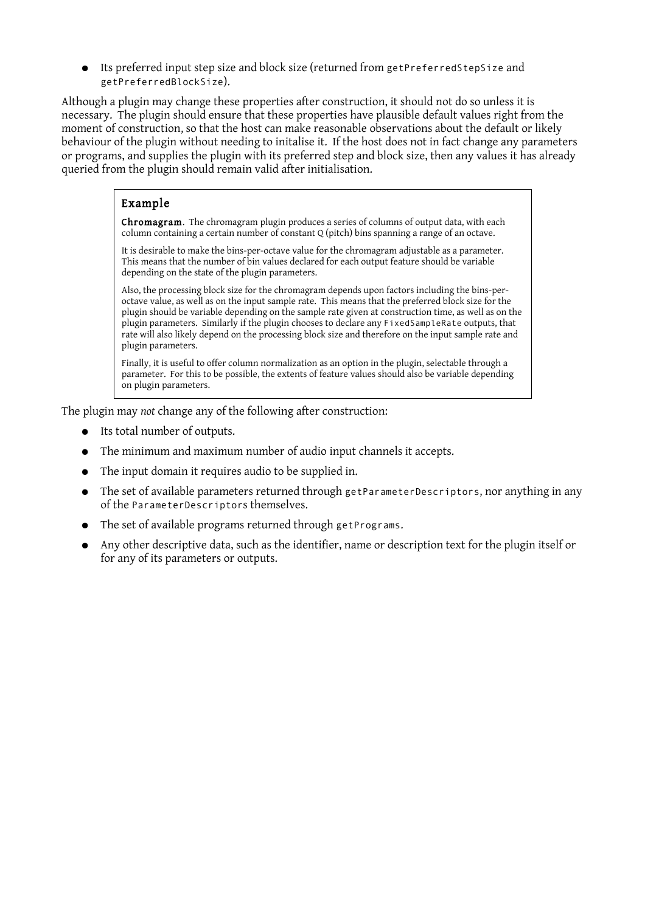● Its preferred input step size and block size (returned from getPreferredStepSize and getPreferredBlockSize).

Although a plugin may change these properties after construction, it should not do so unless it is necessary. The plugin should ensure that these properties have plausible default values right from the moment of construction, so that the host can make reasonable observations about the default or likely behaviour of the plugin without needing to initalise it. If the host does not in fact change any parameters or programs, and supplies the plugin with its preferred step and block size, then any values it has already queried from the plugin should remain valid after initialisation.

### Example

**Chromagram.** The chromagram plugin produces a series of columns of output data, with each column containing a certain number of constant Q (pitch) bins spanning a range of an octave.

It is desirable to make the bins-per-octave value for the chromagram adjustable as a parameter. This means that the number of bin values declared for each output feature should be variable depending on the state of the plugin parameters.

Also, the processing block size for the chromagram depends upon factors including the bins-peroctave value, as well as on the input sample rate. This means that the preferred block size for the plugin should be variable depending on the sample rate given at construction time, as well as on the plugin parameters. Similarly if the plugin chooses to declare any FixedSampleRate outputs, that rate will also likely depend on the processing block size and therefore on the input sample rate and plugin parameters.

Finally, it is useful to offer column normalization as an option in the plugin, selectable through a parameter. For this to be possible, the extents of feature values should also be variable depending on plugin parameters.

The plugin may *not* change any of the following after construction:

- Its total number of outputs.
- The minimum and maximum number of audio input channels it accepts.
- The input domain it requires audio to be supplied in.
- The set of available parameters returned through getParameterDescriptors, nor anything in any of the ParameterDescriptors themselves.
- The set of available programs returned through getPrograms.
- Any other descriptive data, such as the identifier, name or description text for the plugin itself or for any of its parameters or outputs.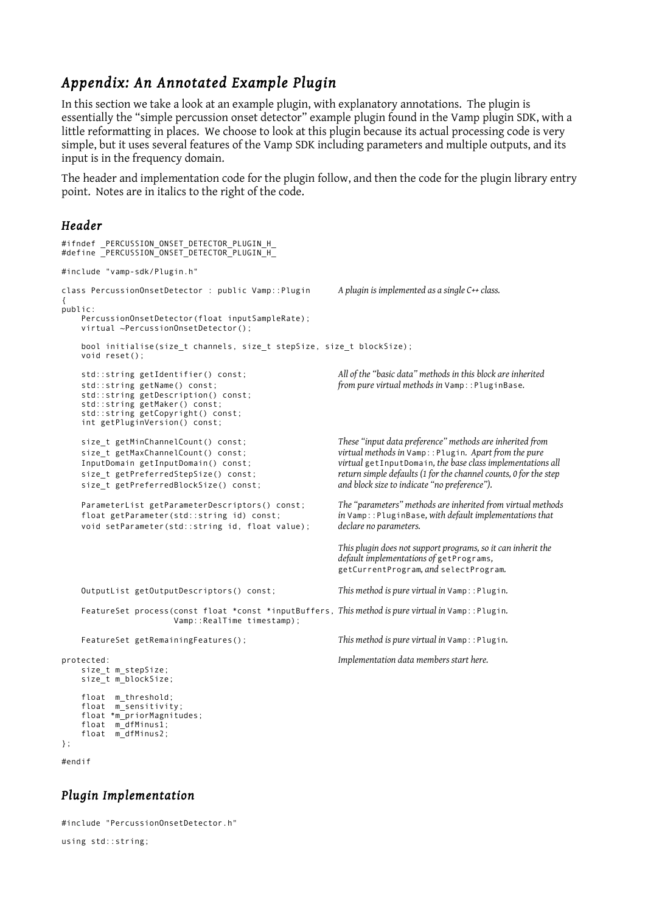# *Appendix: An Annotated Example Plugin*

In this section we take a look at an example plugin, with explanatory annotations. The plugin is essentially the "simple percussion onset detector" example plugin found in the Vamp plugin SDK, with a little reformatting in places. We choose to look at this plugin because its actual processing code is very simple, but it uses several features of the Vamp SDK including parameters and multiple outputs, and its input is in the frequency domain.

The header and implementation code for the plugin follow, and then the code for the plugin library entry point. Notes are in italics to the right of the code.

#### *Header*

```
#ifndef _PERCUSSION_ONSET_DETECTOR_PLUGIN_H_
#define _PERCUSSION_ONSET_DETECTOR_PLUGIN_H_
#include "vamp-sdk/Plugin.h"
class PercussionOnsetDetector : public Vamp::Plugin A plugin is implemented as a single C++ class.
{
public:
    PercussionOnsetDetector(float inputSampleRate);
    virtual ~PercussionOnsetDetector();
   bool initialise(size t channels, size t stepSize, size t blockSize);
    void reset();
    std::string getIdentifier() const; All of the "basic data" methods in this block are inherited 
    std::string getName() const; from pure virtual methods in Vamp::PluginBase.
    std::string getDescription() const;
    std::string getMaker() const;
 std::string getCopyright() const;
 int getPluginVersion() const;
    size_t getMinChannelCount() const; These "input data preference" methods are inherited from
    size_t getMaxChannelCount() const; virtual methods in Vamp::Plugin. Apart from the pure
                                                         virtual getInputDomain, the base class implementations all
    size t getPreferredStepSize() const; return simple defaults (1 for the channel counts, 0 for the step
    size_t getPreferredBlockSize() const; and block size to indicate "no preference").
    ParameterList getParameterDescriptors() const; The "parameters" methods are inherited from virtual methods
                                                         in Vamp::PluginBase, with default implementations that declare no parameters.
   void setParameter(std::string id, float value);
                                                         This plugin does not support programs, so it can inherit the
                                                         default implementations of getPrograms,
                                                         getCurrentProgram, and selectProgram.
    OutputList getOutputDescriptors() const; This method is pure virtual in Vamp::Plugin.
    FeatureSet process(const float *const *inputBuffers, This method is pure virtual in Vamp::Plugin.
                        Vamp::RealTime timestamp);
    FeatureSet getRemainingFeatures(); This method is pure virtual in Vamp::Plugin.
protected: Implementation data members start here.
     size_t m_stepSize;
    size_t m_blockSize;
    float m_threshold;
 float m_sensitivity;
 float *m_priorMagnitudes;
 float m_dfMinus1;
 float m_dfMinus2;
};
```
#endif

#### *Plugin Implementation*

#include "PercussionOnsetDetector.h" using std::string;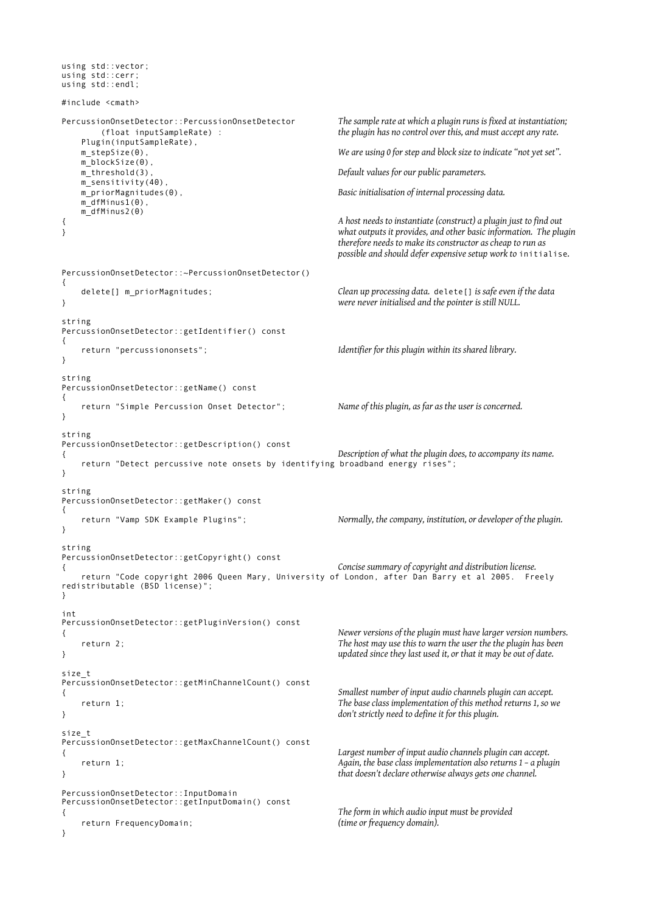```
using std::vector;
using std::cerr;
using std::endl;
#include <cmath>
PercussionOnsetDetector::PercussionOnsetDetector The sample rate at which a plugin runs is fixed at instantiation;
        (float inputSampleRate) : the plugin has no control over this, and must accept any rate.
    Plugin(inputSampleRate),
   m_stepSize(0), \dot{w} are using 0 for step and block size to indicate "not yet set".
   m_blockSize(0),<br>m_threshold(3),
                                                Default values for our public parameters.
    m_sensitivity(40),
    m_priorMagnitudes(0), Basic initialisation of internal processing data.
   m dfMinus1(0).
    m_dfMinus2(0)
{ A host needs to instantiate (construct) a plugin just to find out
} what outputs it provides, and other basic information. The plugin
                                                therefore needs to make its constructor as cheap to run as
                                                possible and should defer expensive setup work to initialise.
PercussionOnsetDetector::~PercussionOnsetDetector()
{
    delete[] m_priorMagnitudes; Clean up processing data. delete[] is safe even if the data
} were never initialised and the pointer is still NULL.
string
PercussionOnsetDetector::getIdentifier() const
{
    return "percussiononsets"; Identifier for this plugin within its shared library.
}
string
PercussionOnsetDetector::getName() const
{
    return "Simple Percussion Onset Detector"; Name of this plugin, as far as the user is concerned.
}
string
PercussionOnsetDetector::getDescription() const
{ Description of what the plugin does, to accompany its name.
    return "Detect percussive note onsets by identifying broadband energy rises";
}
string
PercussionOnsetDetector::getMaker() const
{
    return "Vamp SDK Example Plugins"; Normally, the company, institution, or developer of the plugin.
}
string
PercussionOnsetDetector::getCopyright() const
{ Concise summary of copyright and distribution license.
    return "Code copyright 2006 Queen Mary, University of London, after Dan Barry et al 2005. Freely
redistributable (BSD license)";
}
int
PercussionOnsetDetector::getPluginVersion() const
{ Newer versions of the plugin must have larger version numbers.
    return 2; The host may use this to warn the user the the plugin has been
} updated since they last used it, or that it may be out of date.
size_t
PercussionOnsetDetector::getMinChannelCount() const
{ Smallest number of input audio channels plugin can accept.
    return 1; The base class implementation of this method returns 1, so we
} don't strictly need to define it for this plugin.
size_t
PercussionOnsetDetector::getMaxChannelCount() const
{ Largest number of input audio channels plugin can accept.
    return 1; Again, the base class implementation also returns 1 – a plugin
} that doesn't declare otherwise always gets one channel.
PercussionOnsetDetector::InputDomain
PercussionOnsetDetector::getInputDomain() const
{ The form in which audio input must be provided
    return FrequencyDomain; (time or frequency domain).
}
```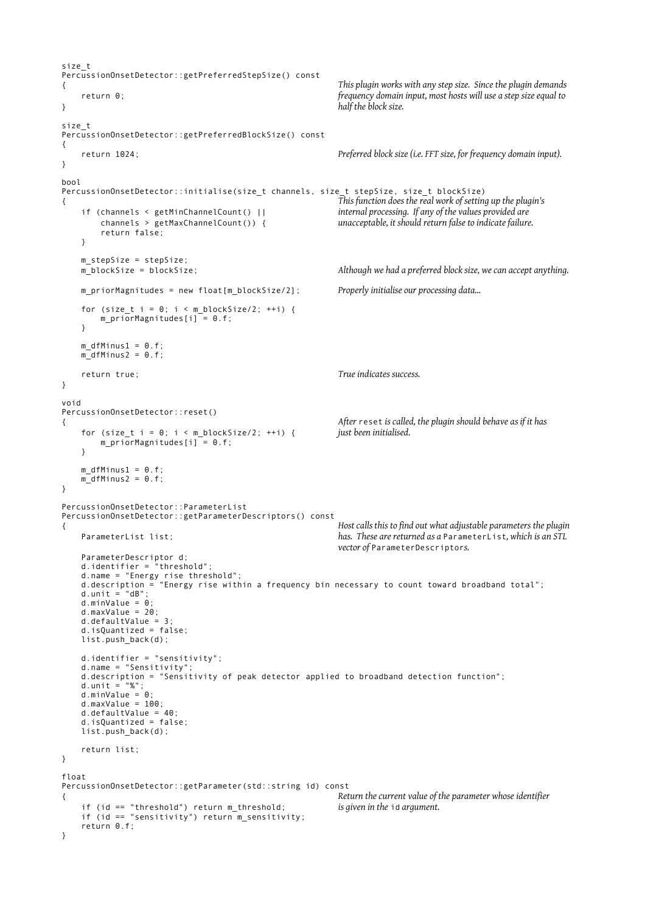```
size_t
PercussionOnsetDetector::getPreferredStepSize() const
{ This plugin works with any step size. Since the plugin demands
    return 0; frequency domain input, most hosts will use a step size equal to
} half the block size.
size_t
PercussionOnsetDetector::getPreferredBlockSize() const
{
    return 1024; Preferred block size (i.e. FFT size, for frequency domain input).
}
bool
PercussionOnsetDetector::initialise(size t channels, size t stepSize, size t blockSize)
{ This function does the real work of setting up the plugin's
    if (channels < getMinChannelCount() || internal processing. If any of the values provided are
                                                     channels > getMaxChannelCount()) { unacceptable, it should return false to indicate failure.
        return false;
    }
   m_stepSize = stepSize;<br>m blockSize = blockSize;
                                                    Although we had a preferred block size, we can accept anything.
    m_priorMagnitudes = new float[m_blockSize/2]; Properly initialise our processing data...
   for (size_t i = 0; i < m_blockSize/2; ++i) {
       m_priorMagnitudes[i] = 0.f;
    }
   m_dfMinus1 = 0.f;
   m^{-}dfMinus2 = 0.f;
    return true; True indicates success.
}
void
PercussionOnsetDetector::reset()
{ After reset is called, the plugin should behave as if it has
   for (size t i = 0; i < m blockSize/2; ++i) {
        m_priorMagnitudes[i] = 0.f;
    }
   m dfMinus1 = 0.f;
   m_ddfMinus2 = 0.f;
}
PercussionOnsetDetector::ParameterList
PercussionOnsetDetector::getParameterDescriptors() const
{ Host calls this to find out what adjustable parameters the plugin
    ParameterList list; has. These are returned as a ParameterList, which is an STL
                                                    vector of ParameterDescriptors.
 ParameterDescriptor d;
 d.identifier = "threshold";
 d.name = "Energy rise threshold";
 d.description = "Energy rise within a frequency bin necessary to count toward broadband total";
   d.unit = "dB";
 d.minValue = 0;
 d.maxValue = 20;
 d.defaultValue = 3;
 d.isQuantized = false;
    list.push_back(d);
 d.identifier = "sensitivity";
 d.name = "Sensitivity";
 d.description = "Sensitivity of peak detector applied to broadband detection function";
    d.unit = "%";
   d.minValue = 0;
   d.maxValue = 100;
    d.defaultValue = 40;
    d.isQuantized = false;
   list.push back(d);
    return list;
}
float
PercussionOnsetDetector::getParameter(std::string id) const
{ Return the current value of the parameter whose identifier
    if (id == "threshold") return m_threshold; is given in the id argument.
   if (id == "sensitivity") return m sensitivity;
    return 0.f;
}
```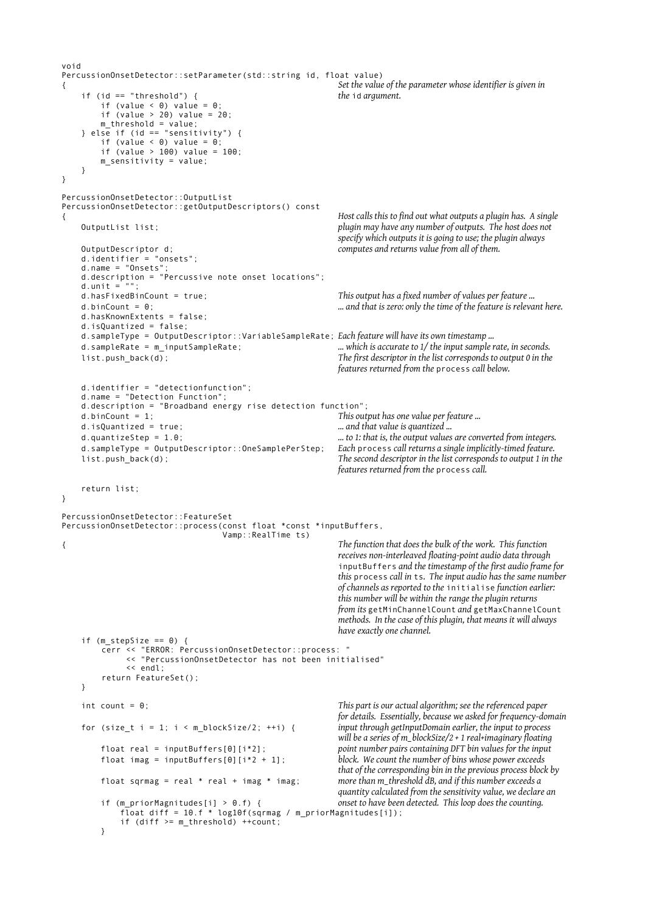```
void
PercussionOnsetDetector::setParameter(std::string id, float value)
{ Set the value of the parameter whose identifier is given in
     if (id == "threshold") { the id argument.
        if (value < 0) value = 0;
        if (value > 20) value = 20;
        m_tthreshold = value;
    } else if (id == "sensitivity") {
        if (value < \theta) value = \theta;
         if (value > 100) value = 100;
        m_sensitivity = value;
     }
}
PercussionOnsetDetector::OutputList
PercussionOnsetDetector::getOutputDescriptors() const
{ Host calls this to find out what outputs a plugin has. A single
     OutputList list; plugin may have any number of outputs. The host does not
                                                        specify which outputs it is going to use; the plugin always
     OutputDescriptor d; computes and returns value from all of them.
     d.identifier = "onsets";
     d.name = "Onsets";
     d.description = "Percussive note onset locations";
    d.unit = ""
     d.hasFixedBinCount = true; This output has a fixed number of values per feature ...
     d.binCount = 0; ... and that is zero: only the time of the feature is relevant here.
     d.hasKnownExtents = false;
     d.isQuantized = false;
     d.sampleType = OutputDescriptor::VariableSampleRate; Each feature will have its own timestamp ...
     d.sampleRate = m_inputSampleRate; ... which is accurate to 1/ the input sample rate, in seconds.
     list.push_back(d); The first descriptor in the list corresponds to output 0 in the
                                                        features returned from the process call below.
     d.identifier = "detectionfunction";
     d.name = "Detection Function";
     d.description = "Broadband energy rise detection function";
     d.binCount = 1; This output has one value per feature ...
     d.isQuantized = true; ... and that value is quantized ...
     d.quantizeStep = 1.0; ... to 1: that is, the output values are converted from integers.
     d.sampleType = OutputDescriptor::OneSamplePerStep; Each process call returns a single implicitly-timed feature.
     list.push_back(d); The second descriptor in the list corresponds to output 1 in the
                                                        features returned from the process call.
     return list;
}
PercussionOnsetDetector::FeatureSet
PercussionOnsetDetector::process(const float *const *inputBuffers,
                                  Vamp::RealTime ts)
{ The function that does the bulk of the work. This function
                                                        receives non-interleaved floating-point audio data through
                                                         inputBuffers and the timestamp of the first audio frame for
                                                        this process call in ts. The input audio has the same number
                                                        of channels as reported to the initialise function earlier:
                                                        this number will be within the range the plugin returns
                                                        from its getMinChannelCount and getMaxChannelCount
                                                         methods. In the case of this plugin, that means it will always
                                                        have exactly one channel.
    if (m stepSize == \theta) {
        cerr << "ERROR: PercussionOnsetDetector::process: "
         << "PercussionOnsetDetector has not been initialised"
              << endl;
        return FeatureSet();
     }
     int count = 0; This part is our actual algorithm; see the referenced paper
                                                        for details. Essentially, because we asked for frequency-domain
    for (size_t i = 1; i < m_blockSize/2; ++i) {
                                                         will be a series of m_blockSize/2 + 1 real+imaginary floating
        float real = inputBuffers[0][i*2]; point number pairs containing DFT bin values for the input
         float imag = inputBuffers[0][i*2 + 1]; block. We count the number of bins whose power exceeds
                                                        that of the corresponding bin in the previous process block by
         float sqrmag = real * real + imag * imag; more than m_threshold dB, and if this number exceeds a
                                                        quantity calculated from the sensitivity value, we declare an
         if (m_priorMagnitudes[i] > 0.f) { onset to have been detected. This loop does the counting.
             float diff = 10.f * log10f(sqrmag / m_priorMagnitudes[i]);
             if (diff >= m_threshold) ++count;
         }
```